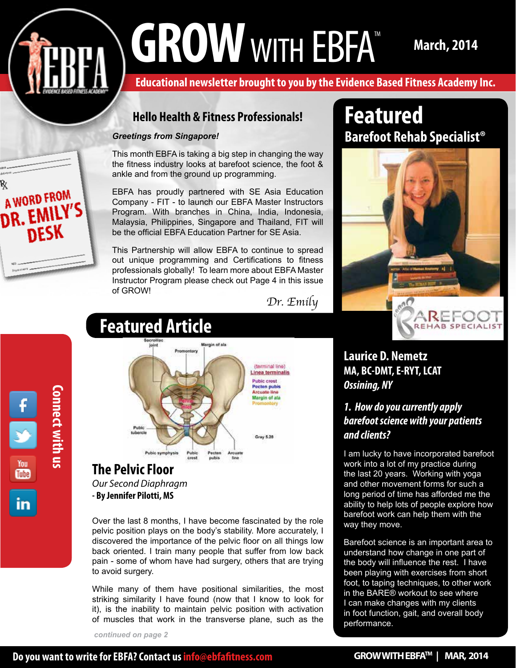# GROW WITH EBFA<sup>TM</sup> March, 2014

**Educational newsletter brought to you by the Evidence Based Fitness Academy Inc.** 

# **Hello Health & Fitness Professionals!**

#### *Greetings from Singapore!*

This month EBFA is taking a big step in changing the way the fitness industry looks at barefoot science, the foot & ankle and from the ground up programming.

EBFA has proudly partnered with SE Asia Education Company - FIT - to launch our EBFA Master Instructors Program. With branches in China, India, Indonesia, Malaysia, Philippines, Singapore and Thailand, FIT will be the official EBFA Education Partner for SE Asia.

This Partnership will allow EBFA to continue to spread out unique programming and Certifications to fitness professionals globally! To learn more about EBFA Master Instructor Program please check out Page 4 in this issue of GROW!

*Dr. Emily*



A WORD FROM

**DR. EMILY'S** 

**DESK** 

# **Featured Article**



*Our Second Diaphragm* **- By Jennifer Pilotti, MS**

Over the last 8 months, I have become fascinated by the role pelvic position plays on the body's stability. More accurately, I discovered the importance of the pelvic floor on all things low back oriented. I train many people that suffer from low back pain - some of whom have had surgery, others that are trying to avoid surgery.

While many of them have positional similarities, the most striking similarity I have found (now that I know to look for it), is the inability to maintain pelvic position with activation of muscles that work in the transverse plane, such as the

*continued on page 2*

# » **Featured Barefoot Rehab Specialist®**



# **Laurice D. Nemetz MA, BC-DMT, E-RYT, LCAT** *Ossining, NY*

# *1. How do you currently apply barefoot science with your patients and clients?*

I am lucky to have incorporated barefoot work into a lot of my practice during the last 20 years. Working with yoga and other movement forms for such a long period of time has afforded me the ability to help lots of people explore how barefoot work can help them with the way they move.

Barefoot science is an important area to understand how change in one part of the body will influence the rest. I have been playing with exercises from short foot, to taping techniques, to other work in the BARE® workout to see where I can make changes with my clients in foot function, gait, and overall body performance.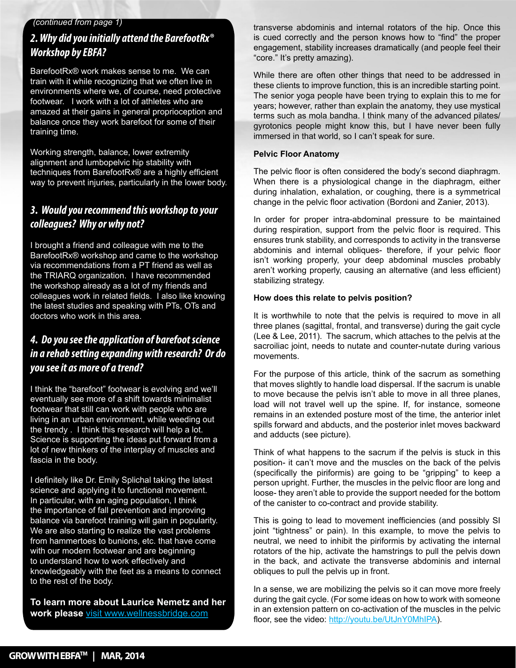#### *(continued from page 1)*

# *2. Why did you initially attend the BarefootRx® Workshop by EBFA?*

BarefootRx® work makes sense to me. We can train with it while recognizing that we often live in environments where we, of course, need protective footwear. I work with a lot of athletes who are amazed at their gains in general proprioception and balance once they work barefoot for some of their training time.

» Working strength, balance, lower extremity » techniques from BarefootRx® are a highly efficient alignment and lumbopelvic hip stability with way to prevent injuries, particularly in the lower body.

# » *colleagues? Why or why not? 3. Would you recommend this workshop to your*

I brought a friend and colleague with me to the BarefootRx® workshop and came to the workshop via recommendations from a PT friend as well as the TRIARQ organization. I have recommended the workshop already as a lot of my friends and colleagues work in related fields. I also like knowing the latest studies and speaking with PTs, OTs and doctors who work in this area.

# *4. Do you see the application of barefoot science in a rehab setting expanding with research? Or do you see it as more of a trend?*

I think the "barefoot" footwear is evolving and we'll eventually see more of a shift towards minimalist footwear that still can work with people who are living in an urban environment, while weeding out the trendy . I think this research will help a lot. Science is supporting the ideas put forward from a lot of new thinkers of the interplay of muscles and fascia in the body.

I definitely like Dr. Emily Splichal taking the latest science and applying it to functional movement. In particular, with an aging population, I think the importance of fall prevention and improving balance via barefoot training will gain in popularity. We are also starting to realize the vast problems from hammertoes to bunions, etc. that have come with our modern footwear and are beginning to understand how to work effectively and knowledgeably with the feet as a means to connect to the rest of the body.

**To learn more about Laurice Nemetz and her work please** visit www.wellnessbridge.com

transverse abdominis and internal rotators of the hip. Once this is cued correctly and the person knows how to "find" the proper engagement, stability increases dramatically (and people feel their "core." It's pretty amazing).

While there are often other things that need to be addressed in these clients to improve function, this is an incredible starting point. The senior yoga people have been trying to explain this to me for years; however, rather than explain the anatomy, they use mystical terms such as mola bandha. I think many of the advanced pilates/ gyrotonics people might know this, but I have never been fully immersed in that world, so I can't speak for sure.

#### **Pelvic Floor Anatomy**

The pelvic floor is often considered the body's second diaphragm. When there is a physiological change in the diaphragm, either during inhalation, exhalation, or coughing, there is a symmetrical change in the pelvic floor activation (Bordoni and Zanier, 2013).

In order for proper intra-abdominal pressure to be maintained during respiration, support from the pelvic floor is required. This ensures trunk stability, and corresponds to activity in the transverse abdominis and internal obliques- therefore, if your pelvic floor isn't working properly, your deep abdominal muscles probably aren't working properly, causing an alternative (and less efficient) stabilizing strategy.

#### **How does this relate to pelvis position?**

It is worthwhile to note that the pelvis is required to move in all three planes (sagittal, frontal, and transverse) during the gait cycle (Lee & Lee, 2011). The sacrum, which attaches to the pelvis at the sacroiliac joint, needs to nutate and counter-nutate during various movements.

For the purpose of this article, think of the sacrum as something that moves slightly to handle load dispersal. If the sacrum is unable to move because the pelvis isn't able to move in all three planes, load will not travel well up the spine. If, for instance, someone remains in an extended posture most of the time, the anterior inlet spills forward and abducts, and the posterior inlet moves backward and adducts (see picture).

Think of what happens to the sacrum if the pelvis is stuck in this position- it can't move and the muscles on the back of the pelvis (specifically the piriformis) are going to be "gripping" to keep a person upright. Further, the muscles in the pelvic floor are long and loose- they aren't able to provide the support needed for the bottom of the canister to co-contract and provide stability.

This is going to lead to movement inefficiencies (and possibly SI joint "tightness" or pain). In this example, to move the pelvis to neutral, we need to inhibit the piriformis by activating the internal rotators of the hip, activate the hamstrings to pull the pelvis down in the back, and activate the transverse abdominis and internal obliques to pull the pelvis up in front.

In a sense, we are mobilizing the pelvis so it can move more freely during the gait cycle. (For some ideas on how to work with someone in an extension pattern on co-activation of the muscles in the pelvic floor, see the video: http://youtu.be/UtJnY0MhIPA).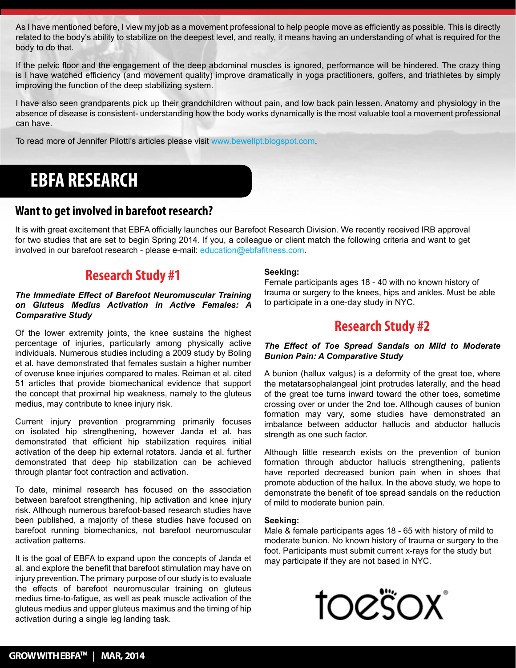As I have mentioned before, I view my job as a movement professional to help people move as efficiently as possible. This is directly related to the body's ability to stabilize on the deepest level, and really, it means having an understanding of what is required for the body to do that.

If the pelvic floor and the engagement of the deep abdominal muscles is ignored, performance will be hindered. The crazy thing is I have watched efficiency (and movement quality) improve dramatically in yoga practitioners, golfers, and triathletes by simply improving the function of the deep stabilizing system.

I have also seen grandparents pick up their grandchildren without pain, and low back pain lessen. Anatomy and physiology in the absence of disease is consistent- understanding how the body works dynamically is the most valuable tool a movement professional can have.

To read more of Jennifer Pilotti's articles please visit www.bewellpt.blogspot.com.

# **EBFA RESEARCH**

# **Want to get involved in barefoot research?**

It is with great excitement that EBFA officially launches our Barefoot Research Division. We recently received IRB approval for two studies that are set to begin Spring 2014. If you, a colleague or client match the following criteria and want to get involved in our barefoot research - please e-mail: education@ebfafitness.com.

# **Research Study #1**

#### *The Immediate Effect of Barefoot Neuromuscular Training on Gluteus Medius Activation in Active Females: A Comparative Study*

Of the lower extremity joints, the knee sustains the highest percentage of injuries, particularly among physically active individuals. Numerous studies including a 2009 study by Boling et al. have demonstrated that females sustain a higher number of overuse knee injuries compared to males. Reiman et al. cited 51 articles that provide biomechanical evidence that support the concept that proximal hip weakness, namely to the gluteus medius, may contribute to knee injury risk.

Current injury prevention programming primarily focuses on isolated hip strengthening, however Janda et al. has demonstrated that efficient hip stabilization requires initial activation of the deep hip external rotators. Janda et al. further demonstrated that deep hip stabilization can be achieved through plantar foot contraction and activation.

To date, minimal research has focused on the association between barefoot strengthening, hip activation and knee injury risk. Although numerous barefoot-based research studies have been published, a majority of these studies have focused on barefoot running biomechanics, not barefoot neuromuscular activation patterns.

It is the goal of EBFA to expand upon the concepts of Janda et al. and explore the benefit that barefoot stimulation may have on injury prevention. The primary purpose of our study is to evaluate the effects of barefoot neuromuscular training on gluteus medius time-to-fatigue, as well as peak muscle activation of the gluteus medius and upper gluteus maximus and the timing of hip activation during a single leg landing task.

#### **Seeking:**

Female participants ages 18 - 40 with no known history of trauma or surgery to the knees, hips and ankles. Must be able to participate in a one-day study in NYC.

# **Research Study #2**

#### *The Effect of Toe Spread Sandals on Mild to Moderate Bunion Pain: A Comparative Study*

A bunion (hallux valgus) is a deformity of the great toe, where the metatarsophalangeal joint protrudes laterally, and the head of the great toe turns inward toward the other toes, sometime crossing over or under the 2nd toe. Although causes of bunion formation may vary, some studies have demonstrated an imbalance between adductor hallucis and abductor hallucis strength as one such factor.

Although little research exists on the prevention of bunion formation through abductor hallucis strengthening, patients have reported decreased bunion pain when in shoes that promote abduction of the hallux. In the above study, we hope to demonstrate the benefit of toe spread sandals on the reduction of mild to moderate bunion pain.

#### **Seeking:**

Male & female participants ages 18 - 65 with history of mild to moderate bunion. No known history of trauma or surgery to the foot. Participants must submit current x-rays for the study but may participate if they are not based in NYC.

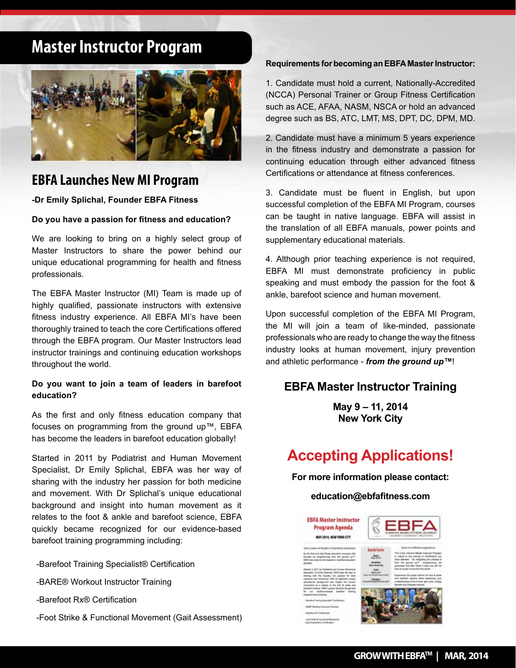# **Master Instructor Program**



# **EBFA Launches New MI Program**

**-Dr Emily Splichal, Founder EBFA Fitness**

#### **Do you have a passion for fitness and education?**

We are looking to bring on a highly select group of Master Instructors to share the power behind our unique educational programming for health and fitness professionals.

The EBFA Master Instructor (MI) Team is made up of highly qualified, passionate instructors with extensive fitness industry experience. All EBFA MI's have been thoroughly trained to teach the core Certifications offered through the EBFA program. Our Master Instructors lead instructor trainings and continuing education workshops throughout the world.

#### **Do you want to join a team of leaders in barefoot education?**

As the first and only fitness education company that focuses on programming from the ground up™, EBFA has become the leaders in barefoot education globally!

Started in 2011 by Podiatrist and Human Movement Specialist, Dr Emily Splichal, EBFA was her way of sharing with the industry her passion for both medicine and movement. With Dr Splichal's unique educational background and insight into human movement as it relates to the foot & ankle and barefoot science, EBFA quickly became recognized for our evidence-based barefoot training programming including:

- -Barefoot Training Specialist® Certification
- -BARE® Workout Instructor Training
- -Barefoot Rx® Certification
- -Foot Strike & Functional Movement (Gait Assessment)

#### **Requirements for becoming an EBFA Master Instructor:**

1. Candidate must hold a current, Nationally-Accredited (NCCA) Personal Trainer or Group Fitness Certification such as ACE, AFAA, NASM, NSCA or hold an advanced degree such as BS, ATC, LMT, MS, DPT, DC, DPM, MD.

2. Candidate must have a minimum 5 years experience in the fitness industry and demonstrate a passion for continuing education through either advanced fitness Certifications or attendance at fitness conferences.

3. Candidate must be fluent in English, but upon successful completion of the EBFA MI Program, courses can be taught in native language. EBFA will assist in the translation of all EBFA manuals, power points and supplementary educational materials.

4. Although prior teaching experience is not required, EBFA MI must demonstrate proficiency in public speaking and must embody the passion for the foot & ankle, barefoot science and human movement.

Upon successful completion of the EBFA MI Program, the MI will join a team of like-minded, passionate professionals who are ready to change the way the fitness industry looks at human movement, injury prevention and athletic performance - *from the ground up™*!

# **EBFA Master Instructor Training**

**May 9 – 11, 2014 New York City**

# **Accepting Applications!**

**For more information please contact:**

#### **education@ebfafitness.com**

**ERFA Master Instructor** Program Agenda MAY 2014, NEW YORK CITY



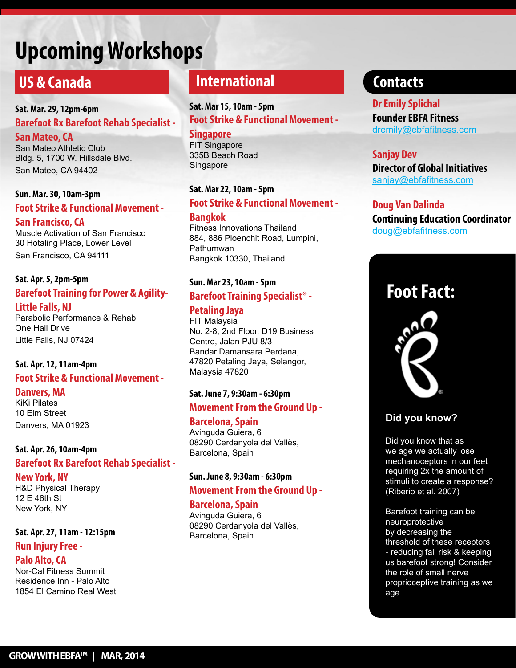# **Upcoming Workshops**

# **US & Canada**

# **Sat. Mar. 29, 12pm-6pm Barefoot Rx Barefoot Rehab Specialist -**

**San Mateo, CA** San Mateo Athletic Club Bldg. 5, 1700 W. Hillsdale Blvd. San Mateo, CA 94402

# **Sun. Mar. 30, 10am-3pm Foot Strike & Functional Movement - San Francisco, CA**

Muscle Activation of San Francisco 30 Hotaling Place, Lower Level San Francisco, CA 94111

## **Sat. Apr. 5, 2pm-5pm Barefoot Training for Power & Agility-**

**Little Falls, NJ** Parabolic Performance & Rehab One Hall Drive Little Falls, NJ 07424

# **Sat. Apr. 12, 11am-4pm**

# **Foot Strike & Functional Movement -**

#### **Danvers, MA**

KiKi Pilates 10 Elm Street Danvers, MA 01923

### **Sat. Apr. 26, 10am-4pm Barefoot Rx Barefoot Rehab Specialist -**

#### **New York, NY**

H&D Physical Therapy 12 E 46th St New York, NY

# **Sat. Apr. 27, 11am - 12:15pm Run Injury Free -**

# **Palo Alto, CA**

Nor-Cal Fitness Summit Residence Inn - Palo Alto 1854 El Camino Real West

# **International**

**Sat. Mar 15, 10am - 5pm Foot Strike & Functional Movement -**

**Singapore** FIT Singapore 335B Beach Road **Singapore** 

### **Sat. Mar 22, 10am - 5pm**

### **Foot Strike & Functional Movement -**

**Bangkok**

Fitness Innovations Thailand 884, 886 Ploenchit Road, Lumpini, Pathumwan Bangkok 10330, Thailand

# **Sun. Mar 23, 10am - 5pm Barefoot Training Specialist® -**

## **Petaling Jaya**

FIT Malaysia No. 2-8, 2nd Floor, D19 Business Centre, Jalan PJU 8/3 Bandar Damansara Perdana, 47820 Petaling Jaya, Selangor, Malaysia 47820

# **Sat. June 7, 9:30am - 6:30pm Movement From the Ground Up -**

#### **Barcelona, Spain**

Avinguda Guiera, 6 08290 Cerdanyola del Vallès, Barcelona, Spain

#### Sun. June 8, 9:30am - 6:30pm  $\frac{m}{300}$  of the 30% of the 30% of the 30% of the 30% of the 30% of the 30% of the 30% of the 30% of the 30% of the 30% of the 30% of the 30% of the 30% of the 30% of the 30% of the 30% of the 30% of the 30% of the 30% Movement From the Ground Up -

### **Barcelona, Spain**

Avinguda Guiera, 6 Barcelona, Spain plantarflexion resides primarily in 08290 Cerdanyola del Vallès,

# **Contacts**

**Dr Emily Splichal Founder EBFA Fitness** dremily@ebfafitness.com

#### **Sanjay Dev**

**Director of Global Initiatives** sanjay@ebfafitness.com

### **Doug Van Dalinda**

**Continuing Education Coordinator**  doug@ebfafitness.com

# **Foot Fact:**



# **Did you know?**

Did you know that as we age we actually lose mechanoceptors in our feet requiring 2x the amount of stimuli to create a response? (Riberio et al. 2007)

Barefoot training can be neuroprotective by decreasing the threshold of these receptors - reducing fall risk & keeping us barefoot strong! Consider the role of small nerve proprioceptive training as we age.